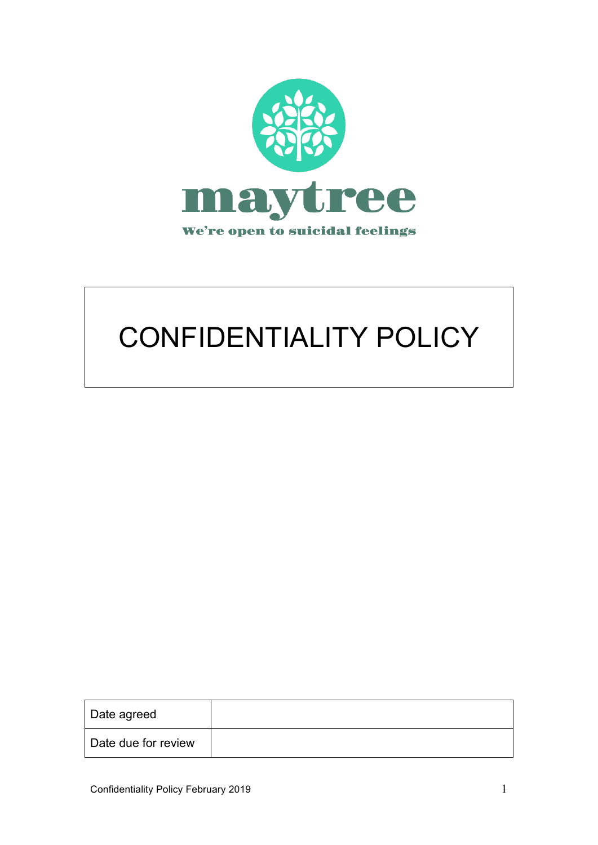

# CONFIDENTIALITY POLICY

| Date agreed         |  |
|---------------------|--|
| Date due for review |  |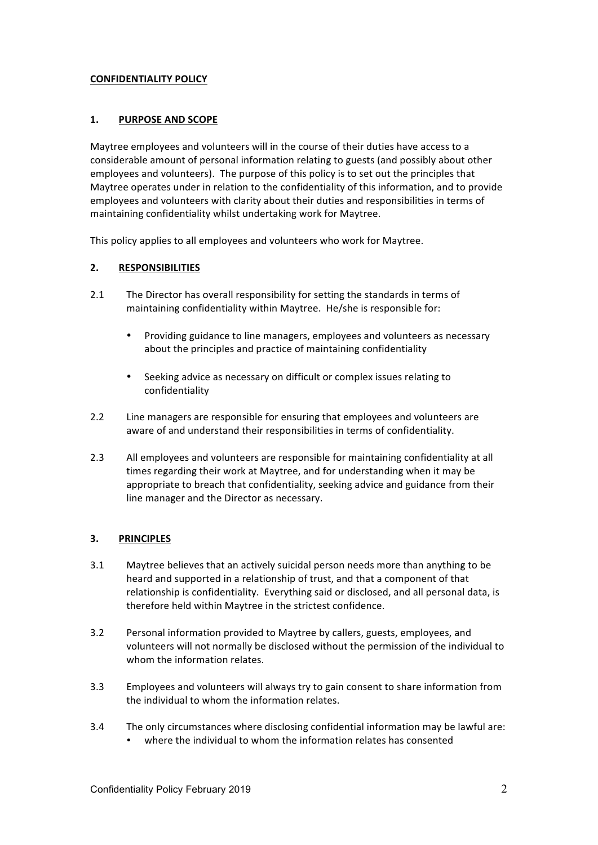#### **CONFIDENTIALITY POLICY**

## 1. **PURPOSE AND SCOPE**

Maytree employees and volunteers will in the course of their duties have access to a considerable amount of personal information relating to guests (and possibly about other employees and volunteers). The purpose of this policy is to set out the principles that Maytree operates under in relation to the confidentiality of this information, and to provide employees and volunteers with clarity about their duties and responsibilities in terms of maintaining confidentiality whilst undertaking work for Maytree.

This policy applies to all employees and volunteers who work for Maytree.

### **2. RESPONSIBILITIES**

- 2.1 The Director has overall responsibility for setting the standards in terms of maintaining confidentiality within Maytree. He/she is responsible for:
	- Providing guidance to line managers, employees and volunteers as necessary about the principles and practice of maintaining confidentiality
	- Seeking advice as necessary on difficult or complex issues relating to confidentiality
- 2.2 Line managers are responsible for ensuring that employees and volunteers are aware of and understand their responsibilities in terms of confidentiality.
- 2.3 All employees and volunteers are responsible for maintaining confidentiality at all times regarding their work at Maytree, and for understanding when it may be appropriate to breach that confidentiality, seeking advice and guidance from their line manager and the Director as necessary.

#### **3. PRINCIPLES**

- 3.1 Maytree believes that an actively suicidal person needs more than anything to be heard and supported in a relationship of trust, and that a component of that relationship is confidentiality. Everything said or disclosed, and all personal data, is therefore held within Maytree in the strictest confidence.
- 3.2 Personal information provided to Maytree by callers, guests, employees, and volunteers will not normally be disclosed without the permission of the individual to whom the information relates.
- 3.3 Employees and volunteers will always try to gain consent to share information from the individual to whom the information relates.
- 3.4 The only circumstances where disclosing confidential information may be lawful are: where the individual to whom the information relates has consented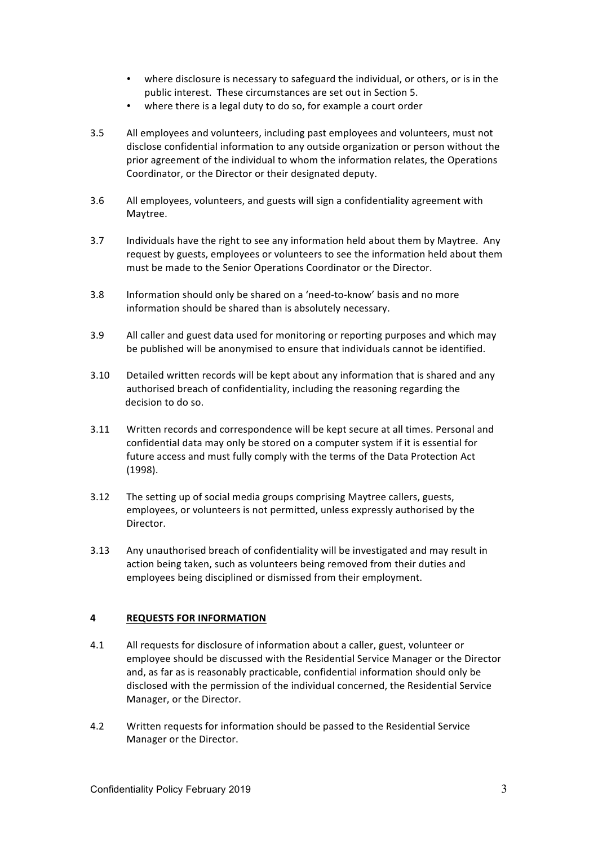- where disclosure is necessary to safeguard the individual, or others, or is in the public interest. These circumstances are set out in Section 5.
- where there is a legal duty to do so, for example a court order
- 3.5 All employees and volunteers, including past employees and volunteers, must not disclose confidential information to any outside organization or person without the prior agreement of the individual to whom the information relates, the Operations Coordinator, or the Director or their designated deputy.
- 3.6 All employees, volunteers, and guests will sign a confidentiality agreement with Maytree.
- 3.7 Individuals have the right to see any information held about them by Maytree. Any request by guests, employees or volunteers to see the information held about them must be made to the Senior Operations Coordinator or the Director.
- 3.8 Information should only be shared on a 'need-to-know' basis and no more information should be shared than is absolutely necessary.
- 3.9 All caller and guest data used for monitoring or reporting purposes and which may be published will be anonymised to ensure that individuals cannot be identified.
- 3.10 Detailed written records will be kept about any information that is shared and any authorised breach of confidentiality, including the reasoning regarding the decision to do so.
- 3.11 Written records and correspondence will be kept secure at all times. Personal and confidential data may only be stored on a computer system if it is essential for future access and must fully comply with the terms of the Data Protection Act (1998).
- 3.12 The setting up of social media groups comprising Maytree callers, guests, employees, or volunteers is not permitted, unless expressly authorised by the Director.
- 3.13 Any unauthorised breach of confidentiality will be investigated and may result in action being taken, such as volunteers being removed from their duties and employees being disciplined or dismissed from their employment.

#### **4 REQUESTS FOR INFORMATION**

- 4.1 All requests for disclosure of information about a caller, guest, volunteer or employee should be discussed with the Residential Service Manager or the Director and, as far as is reasonably practicable, confidential information should only be disclosed with the permission of the individual concerned, the Residential Service Manager, or the Director.
- 4.2 Written requests for information should be passed to the Residential Service Manager or the Director.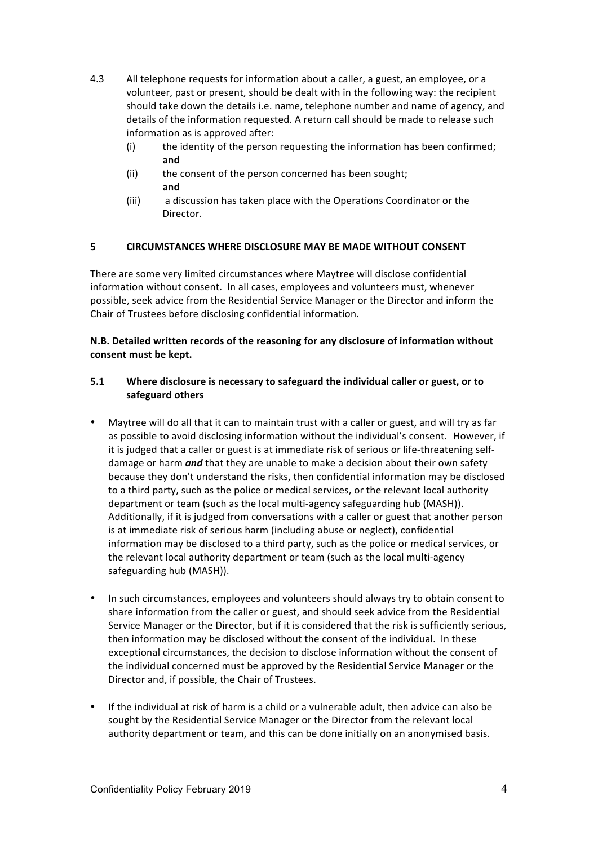- 4.3 All telephone requests for information about a caller, a guest, an employee, or a volunteer, past or present, should be dealt with in the following way: the recipient should take down the details i.e. name, telephone number and name of agency, and details of the information requested. A return call should be made to release such information as is approved after:
	- $(i)$  the identity of the person requesting the information has been confirmed; **and**
	- (ii) the consent of the person concerned has been sought; **and**
	- (iii) a discussion has taken place with the Operations Coordinator or the Director.

#### **5 CIRCUMSTANCES WHERE DISCLOSURE MAY BE MADE WITHOUT CONSENT**

There are some very limited circumstances where Maytree will disclose confidential information without consent. In all cases, employees and volunteers must, whenever possible, seek advice from the Residential Service Manager or the Director and inform the Chair of Trustees before disclosing confidential information.

## **N.B. Detailed written records of the reasoning for any disclosure of information without** consent must be kept.

## 5.1 Where disclosure is necessary to safeguard the individual caller or guest, or to **safeguard others**

- Maytree will do all that it can to maintain trust with a caller or guest, and will try as far as possible to avoid disclosing information without the individual's consent. However, if it is judged that a caller or guest is at immediate risk of serious or life-threatening selfdamage or harm *and* that they are unable to make a decision about their own safety because they don't understand the risks, then confidential information may be disclosed to a third party, such as the police or medical services, or the relevant local authority department or team (such as the local multi-agency safeguarding hub (MASH)). Additionally, if it is judged from conversations with a caller or guest that another person is at immediate risk of serious harm (including abuse or neglect), confidential information may be disclosed to a third party, such as the police or medical services, or the relevant local authority department or team (such as the local multi-agency safeguarding hub (MASH)).
- In such circumstances, employees and volunteers should always try to obtain consent to share information from the caller or guest, and should seek advice from the Residential Service Manager or the Director, but if it is considered that the risk is sufficiently serious, then information may be disclosed without the consent of the individual. In these exceptional circumstances, the decision to disclose information without the consent of the individual concerned must be approved by the Residential Service Manager or the Director and, if possible, the Chair of Trustees.
- If the individual at risk of harm is a child or a vulnerable adult, then advice can also be sought by the Residential Service Manager or the Director from the relevant local authority department or team, and this can be done initially on an anonymised basis.